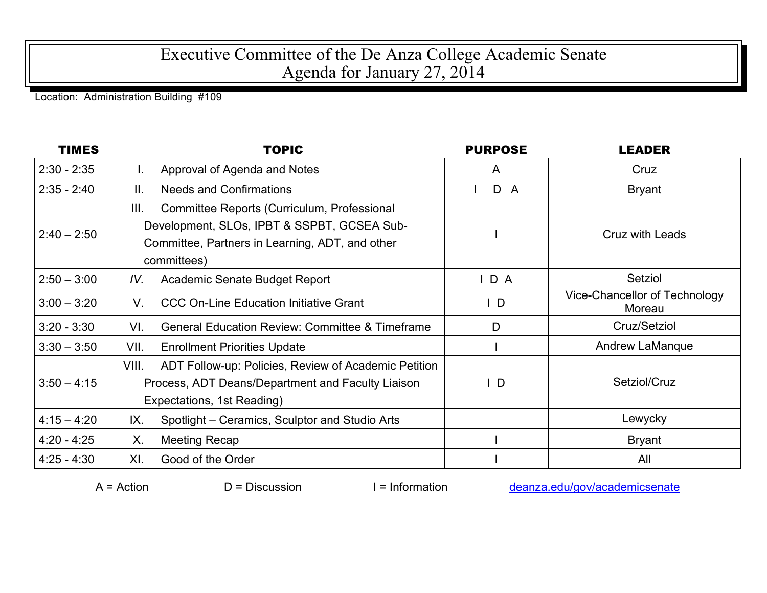## Executive Committee of the De Anza College Academic Senate Agenda for January 27, 2014

Location: Administration Building #109

| <b>TIMES</b>  | <b>TOPIC</b>                                                                                                                                                         | <b>PURPOSE</b> | <b>LEADER</b>                           |
|---------------|----------------------------------------------------------------------------------------------------------------------------------------------------------------------|----------------|-----------------------------------------|
| $2:30 - 2:35$ | Approval of Agenda and Notes<br>I.                                                                                                                                   | A              | Cruz                                    |
| $2:35 - 2:40$ | <b>Needs and Confirmations</b><br>Ⅱ.                                                                                                                                 | D A            | <b>Bryant</b>                           |
| $2:40 - 2:50$ | III.<br>Committee Reports (Curriculum, Professional<br>Development, SLOs, IPBT & SSPBT, GCSEA Sub-<br>Committee, Partners in Learning, ADT, and other<br>committees) |                | Cruz with Leads                         |
| $2:50 - 3:00$ | Academic Senate Budget Report<br>IV.                                                                                                                                 | IDA            | Setziol                                 |
| $3:00 - 3:20$ | <b>CCC On-Line Education Initiative Grant</b><br>V.                                                                                                                  | $\mathsf{I}$ D | Vice-Chancellor of Technology<br>Moreau |
| $3:20 - 3:30$ | <b>General Education Review: Committee &amp; Timeframe</b><br>VI.                                                                                                    | D              | Cruz/Setziol                            |
| $3:30 - 3:50$ | VII.<br><b>Enrollment Priorities Update</b>                                                                                                                          |                | Andrew LaManque                         |
| $3:50 - 4:15$ | VIII.<br>ADT Follow-up: Policies, Review of Academic Petition<br>Process, ADT Deans/Department and Faculty Liaison<br>Expectations, 1st Reading)                     | $\mathsf{I}$ D | Setziol/Cruz                            |
| $4:15 - 4:20$ | IX.<br>Spotlight – Ceramics, Sculptor and Studio Arts                                                                                                                |                | Lewycky                                 |
| $4:20 - 4:25$ | Х.<br><b>Meeting Recap</b>                                                                                                                                           |                | <b>Bryant</b>                           |
| $4:25 - 4:30$ | XI.<br>Good of the Order                                                                                                                                             |                | All                                     |